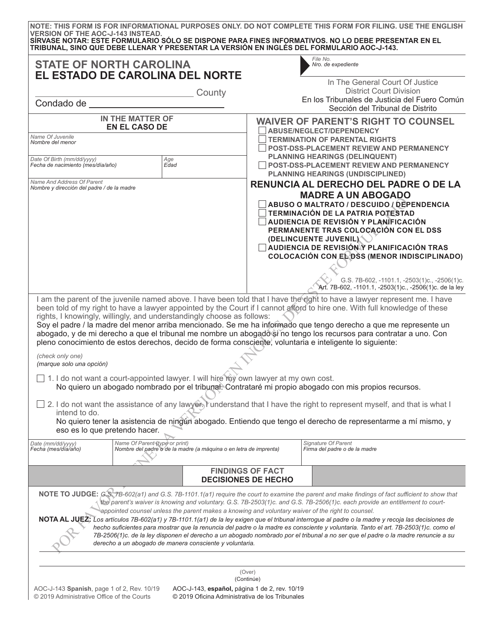| <b>VERSION OF THE AOC-J-143 INSTEAD.</b>                                                                                                                                                                                                                                                                                                                                                                                                                | TRIBUNAL, SINO QUE DEBE LLENAR Y PRESENTAR LA VERSIÓN EN INGLÉS DEL FORMULARIO AOC-J-143.                                                                                          |                                                                                                        | NOTE: THIS FORM IS FOR INFORMATIONAL PURPOSES ONLY. DO NOT COMPLETE THIS FORM FOR FILING. USE THE ENGLISH<br>SÍRVASE NOTAR: ESTE FORMULARIO SÓLO SE DISPONE PARA FINES INFORMATIVOS. NO LO DEBE PRESENTAR EN EL                                                                                                                                                                                                                                                                                                                                                                                                                                                                                            |  |
|---------------------------------------------------------------------------------------------------------------------------------------------------------------------------------------------------------------------------------------------------------------------------------------------------------------------------------------------------------------------------------------------------------------------------------------------------------|------------------------------------------------------------------------------------------------------------------------------------------------------------------------------------|--------------------------------------------------------------------------------------------------------|------------------------------------------------------------------------------------------------------------------------------------------------------------------------------------------------------------------------------------------------------------------------------------------------------------------------------------------------------------------------------------------------------------------------------------------------------------------------------------------------------------------------------------------------------------------------------------------------------------------------------------------------------------------------------------------------------------|--|
|                                                                                                                                                                                                                                                                                                                                                                                                                                                         | <b>STATE OF NORTH CAROLINA</b><br>EL ESTADO DE CAROLINA DEL NORTE                                                                                                                  |                                                                                                        | File No.<br>Nro. de expediente                                                                                                                                                                                                                                                                                                                                                                                                                                                                                                                                                                                                                                                                             |  |
| Condado de                                                                                                                                                                                                                                                                                                                                                                                                                                              | County                                                                                                                                                                             |                                                                                                        | In The General Court Of Justice<br><b>District Court Division</b><br>En los Tribunales de Justicia del Fuero Común<br>Sección del Tribunal de Distrito                                                                                                                                                                                                                                                                                                                                                                                                                                                                                                                                                     |  |
|                                                                                                                                                                                                                                                                                                                                                                                                                                                         | IN THE MATTER OF<br><b>EN EL CASO DE</b>                                                                                                                                           |                                                                                                        | <b>WAIVER OF PARENT'S RIGHT TO COUNSEL</b>                                                                                                                                                                                                                                                                                                                                                                                                                                                                                                                                                                                                                                                                 |  |
| Name Of Juvenile<br>Nombre del menor                                                                                                                                                                                                                                                                                                                                                                                                                    |                                                                                                                                                                                    |                                                                                                        | <b>ABUSE/NEGLECT/DEPENDENCY</b><br><b>TERMINATION OF PARENTAL RIGHTS</b><br><b>POST-DSS-PLACEMENT REVIEW AND PERMANENCY</b>                                                                                                                                                                                                                                                                                                                                                                                                                                                                                                                                                                                |  |
| Date Of Birth (mm/dd/yyyy)<br>Fecha de nacimiento (mes/día/año)                                                                                                                                                                                                                                                                                                                                                                                         | Age<br>Edad                                                                                                                                                                        |                                                                                                        | <b>PLANNING HEARINGS (DELINQUENT)</b><br><b>POST-DSS-PLACEMENT REVIEW AND PERMANENCY</b><br><b>PLANNING HEARINGS (UNDISCIPLINED)</b>                                                                                                                                                                                                                                                                                                                                                                                                                                                                                                                                                                       |  |
| Name And Address Of Parent<br>RENUNCIA AL DERECHO DEL PADRE O DE LA<br>Nombre y dirección del padre / de la madre<br><b>MADRE A UN ABOGADO</b><br>ABUSO O MALTRATO / DESCUIDO / DEPENDENCIA<br><b>TERMINACIÓN DE LA PATRIA POTESTAD</b><br>AUDIENCIA DE REVISIÓN Y PLANÍFICACIÓN<br>PERMANENTE TRAS COLOCACIÓN CON EL DSS<br>(DELINCUENTE JUVENIL)<br>AUDIENCIA DE REVISIÓN Y PLANIFICACIÓN TRAS<br><b>COLOCACIÓN CON EL DSS (MENOR INDISCIPLINADO)</b> |                                                                                                                                                                                    | G.S. 7B-602, -1101.1, -2503(1)c., -2506(1)c.<br>Art. 7B-602, -1101.1, -2503(1)c., -2506(1)c. de la ley |                                                                                                                                                                                                                                                                                                                                                                                                                                                                                                                                                                                                                                                                                                            |  |
| (check only one)<br>(marque solo una opción)                                                                                                                                                                                                                                                                                                                                                                                                            | rights, I knowingly, willingly, and understandingly choose as follows:<br>pleno conocimiento de estos derechos, decido de forma consciente, voluntaria e inteligente lo siguiente: |                                                                                                        | I am the parent of the juvenile named above. I have been told that I have the right to have a lawyer represent me. I have<br>been told of my right to have a lawyer appointed by the Court if I cannot afford to hire one. With full knowledge of these<br>Soy el padre / la madre del menor arriba mencionado. Se me ha informado que tengo derecho a que me represente un<br>abogado, y de mi derecho a que el tribunal me nombre un abogado si no tengo los recursos para contratar a uno. Con                                                                                                                                                                                                          |  |
|                                                                                                                                                                                                                                                                                                                                                                                                                                                         | □ 1. I do not want a court-appointed lawyer. I will hire my own lawyer at my own cost.                                                                                             |                                                                                                        | No quiero un abogado nombrado por el tribunal. Contrataré mi propio abogado con mis propios recursos.                                                                                                                                                                                                                                                                                                                                                                                                                                                                                                                                                                                                      |  |
| intend to do.<br>eso es lo que pretendo hacer.                                                                                                                                                                                                                                                                                                                                                                                                          |                                                                                                                                                                                    |                                                                                                        | 2. I do not want the assistance of any lawyer, runderstand that I have the right to represent myself, and that is what I<br>No quiero tener la asistencia de ningún abogado. Entiendo que tengo el derecho de representarme a mí mismo, y                                                                                                                                                                                                                                                                                                                                                                                                                                                                  |  |
| Date (mm/dd/yyyy)<br>Fecha (mes/día/año)                                                                                                                                                                                                                                                                                                                                                                                                                | Name Of Parent (type or print)<br>Nombre del padre o de la madre (a máquina o en letra de imprenta)                                                                                |                                                                                                        | Signature Of Parent<br>Firma del padre o de la madre                                                                                                                                                                                                                                                                                                                                                                                                                                                                                                                                                                                                                                                       |  |
|                                                                                                                                                                                                                                                                                                                                                                                                                                                         |                                                                                                                                                                                    | <b>FINDINGS OF FACT</b><br><b>DECISIONES DE HECHO</b>                                                  |                                                                                                                                                                                                                                                                                                                                                                                                                                                                                                                                                                                                                                                                                                            |  |
|                                                                                                                                                                                                                                                                                                                                                                                                                                                         | appointed counsel unless the parent makes a knowing and voluntary waiver of the right to counsel.<br>derecho a un abogado de manera consciente y voluntaria.                       |                                                                                                        | NOTE TO JUDGE: GS 7B-602(a1) and G.S. 7B-1101.1(a1) require the court to examine the parent and make findings of fact sufficient to show that<br>the parent's waiver is knowing and voluntary. G.S. 7B-2503(1)c. and G.S. 7B-2506(1)c. each provide an entitlement to court-<br>NOTA AL JUEZ: Los artículos 7B-602(a1) y 7B-1101.1(a1) de la ley exigen que el tribunal interrogue al padre o la madre y recoja las decisiones de<br>hecho suficientes para mostrar que la renuncia del padre o la madre es consciente y voluntaria. Tanto el art. 7B-2503(1)c. como el<br>7B-2506(1)c. de la ley disponen el derecho a un abogado nombrado por el tribunal a no ser que el padre o la madre renuncie a su |  |
|                                                                                                                                                                                                                                                                                                                                                                                                                                                         | $AOC - 1.143$ Spanish page 1 of 2 Rev 10/19 $AOC - 1.143$ español página 1 de 2 rev 10/19                                                                                          | (Over)<br>(Continúe)                                                                                   |                                                                                                                                                                                                                                                                                                                                                                                                                                                                                                                                                                                                                                                                                                            |  |

AOC-J-143 **Spanish**, page 1 of 2, Rev. 10/19 © 2019 Administrative Office of the Courts

 $\mathbf{r}$